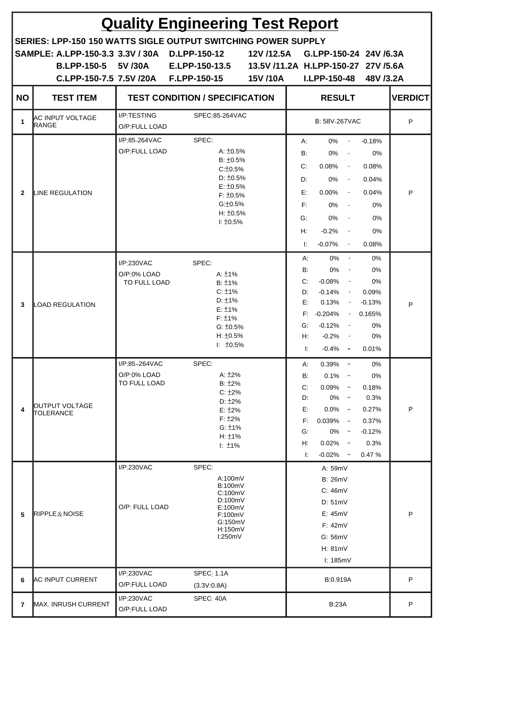| <b>Quality Engineering Test Report</b> |                                                                                                                                                                                     |                                              |                                                                                                                                                                   |                        |                                                                                                                                                                                                                                                    |                                                                          |   |  |
|----------------------------------------|-------------------------------------------------------------------------------------------------------------------------------------------------------------------------------------|----------------------------------------------|-------------------------------------------------------------------------------------------------------------------------------------------------------------------|------------------------|----------------------------------------------------------------------------------------------------------------------------------------------------------------------------------------------------------------------------------------------------|--------------------------------------------------------------------------|---|--|
|                                        | SERIES: LPP-150 150 WATTS SIGLE OUTPUT SWITCHING POWER SUPPLY<br>SAMPLE: A.LPP-150-3.3 3.3V / 30A D.LPP-150-12<br><b>B.LPP-150-5 5V/30A</b><br>C.LPP-150-7.5 7.5V /20A F.LPP-150-15 |                                              | E.LPP-150-13.5                                                                                                                                                    | 12V /12.5A<br>15V /10A | G.LPP-150-24 24V /6.3A<br>13.5V /11.2A H.LPP-150-27 27V /5.6A<br><b>I.LPP-150-48</b>                                                                                                                                                               | 48V /3.2A                                                                |   |  |
| <b>NO</b>                              | <b>TEST ITEM</b>                                                                                                                                                                    |                                              | <b>TEST CONDITION / SPECIFICATION</b>                                                                                                                             |                        | <b>RESULT</b>                                                                                                                                                                                                                                      | <b>VERDICT</b>                                                           |   |  |
| 1                                      | IAC INPUT VOLTAGE<br>RANGE                                                                                                                                                          | I/P:TESTING<br>O/P:FULL LOAD                 | SPEC:85-264VAC                                                                                                                                                    |                        | B: 58V-267VAC                                                                                                                                                                                                                                      | P                                                                        |   |  |
| $\overline{2}$                         | LINE REGULATION                                                                                                                                                                     | I/P:85-264VAC<br>O/P:FULL LOAD               | SPEC:<br>A: $\pm 0.5\%$<br>$B: \pm 0.5\%$<br>$C: \pm 0.5\%$<br>$D: \pm 0.5\%$<br>$E: \pm 0.5\%$<br>$F: \pm 0.5\%$<br>$G: \pm 0.5\%$<br>$H: \pm 0.5\%$<br>1: 10.5% |                        | А:<br>$0\%$<br>$\sim$<br><b>B:</b><br>0%<br>$\sim$ $\sim$<br>C:<br>$0.08\%$ -<br>0%<br>D:<br>$\sim$ $-$<br>E:<br>$0.00\%$<br>$\sim$ $-$<br>F:<br>$0\%$ -<br>G:<br>0%<br>$\sim$ $-$<br>$-0.2%$<br>Н.<br>$\sim$ $-$<br>$-0.07\%$<br>Ŀ.<br>$\sim 100$ | $-0.18%$<br>0%<br>0.08%<br>0.04%<br>0.04%<br>0%<br>0%<br>0%<br>0.08%     | P |  |
| 3                                      | <b>LOAD REGULATION</b>                                                                                                                                                              | I/P:230VAC<br>O/P:0% LOAD<br>TO FULL LOAD    | SPEC:<br>A: $±1\%$<br>$B: \pm 1\%$<br>$C: \pm 1\%$<br>$D: \pm 1\%$<br>$E: \pm 1\%$<br>$F: \pm 1\%$<br>$G: \pm 0.5\%$<br>$H: \pm 0.5\%$<br>$1: 10.5\%$             |                        | А:<br>$0\%$<br>$\sim$<br>B:<br>0%<br>$\sim$<br>C:<br>$-0.08\%$<br>$\sim$<br>$-0.14\%$ -<br>D:<br>E:<br>$0.13\%$ -<br>$F: -0.204\%$<br>$-0.12%$<br>G:<br>$\sim$<br>$-0.2%$<br>Н:<br>$\sim$<br>Ŀ.<br>$-0.4\%$ $-$                                    | 0%<br>0%<br>0%<br>0.09%<br>$-0.13%$<br>$-0.165%$<br>0%<br>0%<br>0.01%    | P |  |
| 4                                      | OUTPUT VOLTAGE<br>TOLERANCE                                                                                                                                                         | I/P:85~264VAC<br>O/P:0% LOAD<br>TO FULL LOAD | SPEC:<br>A: $±2%$<br>$B: \pm 2\%$<br>$C: \pm 2\%$<br>$D: \pm 2\%$<br>$E: \pm 2\%$<br>$F: \pm 2\%$<br>G: 11%<br>H: $±1\%$<br>$\pm 1\%$                             |                        | А:<br>0.39%<br>$\sim$<br>B:<br>$0.1\%$ ~<br>C:<br>$0.09\%$ ~<br>D:<br>0%<br>$\sim$<br>E:<br>$0.0\%$ ~<br>F:<br>0.039%<br>$\thicksim$<br>G:<br>0%<br>$\sim$<br>Н:<br>$0.02\%$ ~<br>Ŀ.<br>$-0.02\%$ ~                                                | 0%<br>0%<br>0.18%<br>0.3%<br>0.27%<br>0.37%<br>$-0.12%$<br>0.3%<br>0.47% | P |  |
| 5                                      | RIPPLE & NOISE                                                                                                                                                                      | I/P:230VAC<br>O/P: FULL LOAD                 | SPEC:<br>A:100mV<br><b>B:100mV</b><br>C:100mV<br>D:100mV<br>E:100mV<br>F:100mV<br>G:150mV<br>H:150mV<br>I:250mV                                                   |                        | A: 59mV<br><b>B: 26mV</b><br>C: 46mV<br>D: 51mV<br>E: 45mV<br>F: 42mV<br>G: 56mV<br>H: 81mV<br>l: 185mV                                                                                                                                            |                                                                          | P |  |
| 6                                      | <b>AC INPUT CURRENT</b>                                                                                                                                                             | I/P:230VAC<br>O/P:FULL LOAD                  | SPEC: 1.1A<br>(3.3V:0.8A)                                                                                                                                         |                        | B:0.919A                                                                                                                                                                                                                                           |                                                                          | P |  |
| 7                                      | <b>MAX. INRUSH CURRENT</b>                                                                                                                                                          | I/P:230VAC<br>O/P:FULL LOAD                  | SPEC: 40A                                                                                                                                                         |                        | <b>B:23A</b>                                                                                                                                                                                                                                       |                                                                          | P |  |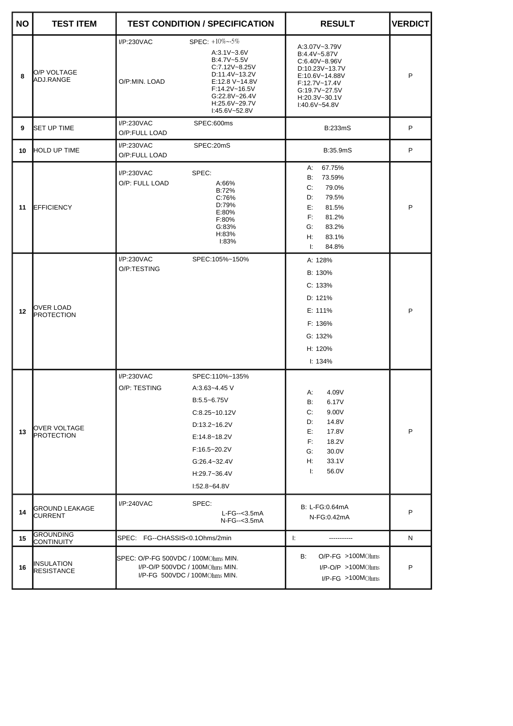| <b>NO</b> | <b>TEST ITEM</b>                  |                                     | <b>TEST CONDITION / SPECIFICATION</b>                                                                                                                                              | <b>RESULT</b>                                                                                                                                              | <b>VERDICT</b> |
|-----------|-----------------------------------|-------------------------------------|------------------------------------------------------------------------------------------------------------------------------------------------------------------------------------|------------------------------------------------------------------------------------------------------------------------------------------------------------|----------------|
| 8         | <b>IO/P VOLTAGE</b><br>ADJ.RANGE  | I/P:230VAC<br>O/P:MIN. LOAD         | SPEC: $+10\%$ $-5\%$<br>$A:3.1V - 3.6V$<br>B:4.7V~5.5V<br>C:7.12V~8.25V<br>D:11.4V~13.2V<br>E:12.8 V~14.8V<br>F:14.2V~16.5V<br>G:22.8V~26.4V<br>H:25.6V~29.7V<br>$1:45.6V - 52.8V$ | A:3.07V~3.79V<br>B:4.4V~5.87V<br>$C:6.40V - 8.96V$<br>D:10.23V~13.7V<br>E:10.6V~14.88V<br>F:12.7V~17.4V<br>G:19.7V~27.5V<br>H:20.3V~30.1V<br>I:40.6V~54.8V | P              |
| 9         | <b>I</b> SET UP TIME              | I/P:230VAC<br>O/P:FULL LOAD         | SPEC:600ms<br><b>B:233mS</b>                                                                                                                                                       |                                                                                                                                                            | P              |
| 10        | <b>HOLD UP TIME</b>               | I/P:230VAC<br>O/P:FULL LOAD         | SPEC:20mS                                                                                                                                                                          | B:35.9mS                                                                                                                                                   | P              |
| 11        | <b>EFFICIENCY</b>                 | I/P:230VAC<br>O/P: FULL LOAD        | SPEC:<br>A:66%<br>B:72%<br>C:76%<br>D:79%<br>E:80%<br>F:80%<br>G:83%<br>H:83%<br>1:83%                                                                                             | 67.75%<br>А:<br>73.59%<br>B:<br>C:<br>79.0%<br>79.5%<br>D:<br>E:<br>81.5%<br>F:<br>81.2%<br>83.2%<br>G:<br>83.1%<br>H:<br>84.8%<br>Ŀ.                      | P              |
| 12        | OVER LOAD<br>PROTECTION           | I/P:230VAC<br>O/P:TESTING           | SPEC:105%~150%                                                                                                                                                                     | A: 128%<br>B: 130%<br>C: 133%<br>D: 121%<br>E: 111%<br>F: 136%<br>G: 132%<br>H: 120%<br>I: 134%                                                            | P              |
| 13        | OVER VOLTAGE<br><b>PROTECTION</b> | I/P:230VAC<br>O/P: TESTING          | SPEC:110%~135%<br>A:3.63~4.45 V<br>B:5.5~6.75V<br>$C:8.25 - 10.12V$<br>D:13.2~16.2V<br>E:14.8~18.2V<br>$F:16.5 - 20.2V$<br>$G:26.4 - 32.4V$<br>H:29.7~36.4V<br>$1:52.8 - 64.8V$    | A:<br>4.09V<br>B:<br>6.17V<br>C:<br>9.00V<br>14.8V<br>D:<br>E:<br>17.8V<br>F:<br>18.2V<br>G:<br>30.0V<br>Н:<br>33.1V<br>Ŀ.<br>56.0V                        | P              |
| 14        | GROUND LEAKAGE<br>CURRENT         | I/P:240VAC                          | SPEC:<br>$L-FG--3.5mA$<br>N-FG--<3.5mA                                                                                                                                             | B: L-FG:0.64mA<br>N-FG:0.42mA                                                                                                                              | P              |
| 15        | <b>GROUNDING</b><br>CONTINUITY    | SPEC: FG--CHASSIS<0.1Ohms/2min      |                                                                                                                                                                                    | Ŀ.<br>------------                                                                                                                                         | N              |
| 16        | INSULATION<br><b>RESISTANCE</b>   | SPEC: O/P-FG 500VDC / 100MOhms MIN. | I/P-O/P 500VDC / 100MOhms MIN.<br>I/P-FG 500VDC / 100MOhms MIN.                                                                                                                    | $O/P$ -FG $>100MOhms$<br>B:<br>$I/P$ -O/P >100MOhms<br>$I/P$ -FG $>100MOhms$                                                                               | P              |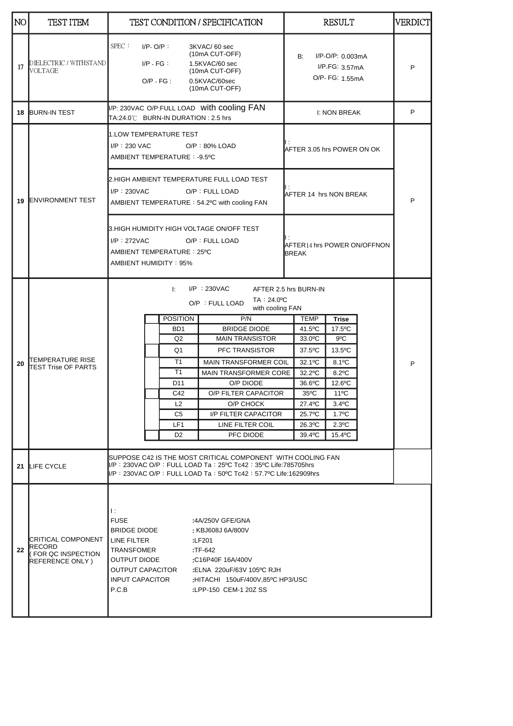| NO. | TEST ITEM                                                            |                                                                                                                                                                                                                                                                                                                          |                                                           |                                                                                                    | <b>TEST CONDITION / SPECIFICATION</b>                                                                                     |                                             | <b>RESULT</b>                                            |  | VERDICT |
|-----|----------------------------------------------------------------------|--------------------------------------------------------------------------------------------------------------------------------------------------------------------------------------------------------------------------------------------------------------------------------------------------------------------------|-----------------------------------------------------------|----------------------------------------------------------------------------------------------------|---------------------------------------------------------------------------------------------------------------------------|---------------------------------------------|----------------------------------------------------------|--|---------|
| 17  | DIELECTRIC / WITHSTAND<br>VOLTAGE                                    | SPEC:                                                                                                                                                                                                                                                                                                                    | $I/P$ - O/P:<br>$I/P - FG$ :<br>$O/P - FG$ :              |                                                                                                    | 3KVAC/60 sec<br>(10mA CUT-OFF)<br>1.5KVAC/60 sec<br>(10mA CUT-OFF)<br>0.5KVAC/60sec<br>(10mA CUT-OFF)                     | B:                                          | $I/P$ -O/P: 0.003mA<br>I/P-FG: 3.57mA<br>O/P- FG: 1.55mA |  | P       |
|     | 18 BURN-IN TEST                                                      |                                                                                                                                                                                                                                                                                                                          |                                                           | I/P: 230VAC O/P:FULL LOAD with cooling FAN<br>I: NON BREAK<br>TA:24.0°C BURN-IN DURATION : 2.5 hrs |                                                                                                                           |                                             | P                                                        |  |         |
| 19  | <b>ENVIRONMENT TEST</b>                                              | 1.LOW TEMPERATURE TEST<br>$I/P$ : 230 VAC<br>$O/P$ : 80% LOAD<br>AMBIENT TEMPERATURE: -9.5°C                                                                                                                                                                                                                             |                                                           |                                                                                                    | AFTER 3.05 hrs POWER ON OK                                                                                                |                                             |                                                          |  |         |
|     |                                                                      | 2.HIGH AMBIENT TEMPERATURE FULL LOAD TEST<br>$I/P$ : 230VAC<br>O/P: FULL LOAD<br>AFTER 14 hrs NON BREAK<br>AMBIENT TEMPERATURE: 54.2°C with cooling FAN                                                                                                                                                                  |                                                           |                                                                                                    |                                                                                                                           |                                             | P                                                        |  |         |
|     |                                                                      | $I/P$ : 272VAC                                                                                                                                                                                                                                                                                                           | AMBIENT TEMPERATURE: 25°C<br><b>AMBIENT HUMIDITY: 95%</b> |                                                                                                    | 3.HIGH HUMIDITY HIGH VOLTAGE ON/OFF TEST<br>O/P: FULL LOAD                                                                | AFTER14 hrs POWER ON/OFFNON<br><b>BREAK</b> |                                                          |  |         |
|     | TEMPERATURE RISE<br><b>TEST Trise OF PARTS</b>                       | $I/P$ : 230VAC<br>Ŀ.<br>AFTER 2.5 hrs BURN-IN<br>TA: 24.0°C<br>O/P : FULL LOAD<br>with cooling FAN                                                                                                                                                                                                                       |                                                           |                                                                                                    |                                                                                                                           |                                             |                                                          |  |         |
|     |                                                                      |                                                                                                                                                                                                                                                                                                                          | <b>POSITION</b><br>B <sub>D</sub> 1                       |                                                                                                    | P/N<br><b>BRIDGE DIODE</b>                                                                                                | <b>TEMP</b><br>41.5°C                       | <b>Trise</b><br>17.5°C                                   |  |         |
|     |                                                                      |                                                                                                                                                                                                                                                                                                                          | Q <sub>2</sub>                                            |                                                                                                    | <b>MAIN TRANSISTOR</b>                                                                                                    | 33.0°C                                      | 9°C                                                      |  |         |
|     |                                                                      |                                                                                                                                                                                                                                                                                                                          | Q1                                                        |                                                                                                    | PFC TRANSISTOR                                                                                                            | 37.5°C                                      | 13.5°C                                                   |  |         |
| 20  |                                                                      |                                                                                                                                                                                                                                                                                                                          | T1                                                        |                                                                                                    | <b>MAIN TRANSFORMER COIL</b>                                                                                              | 32.1°C                                      | 8.1°C                                                    |  | P       |
|     |                                                                      |                                                                                                                                                                                                                                                                                                                          | T1                                                        |                                                                                                    | <b>MAIN TRANSFORMER CORE</b>                                                                                              | 32.2°C                                      | $8.2$ <sup>o</sup> C                                     |  |         |
|     |                                                                      |                                                                                                                                                                                                                                                                                                                          | D <sub>11</sub>                                           |                                                                                                    | O/P DIODE                                                                                                                 | 36.6°C                                      | 12.6°C                                                   |  |         |
|     |                                                                      |                                                                                                                                                                                                                                                                                                                          | C42                                                       |                                                                                                    | O/P FILTER CAPACITOR                                                                                                      | $35^{\circ}$ C                              | $11^{\circ}$ C                                           |  |         |
|     |                                                                      |                                                                                                                                                                                                                                                                                                                          | L <sub>2</sub><br>C <sub>5</sub>                          |                                                                                                    | O/P CHOCK<br>I/P FILTER CAPACITOR                                                                                         | 27.4°C<br>25.7°C                            | $3.4$ °C<br>$1.7^{\circ}$ C                              |  |         |
|     |                                                                      |                                                                                                                                                                                                                                                                                                                          | LF <sub>1</sub>                                           |                                                                                                    | LINE FILTER COIL                                                                                                          | $26.3$ <sup>o</sup> C                       | $2.3^{\circ}$ C                                          |  |         |
|     |                                                                      |                                                                                                                                                                                                                                                                                                                          | D <sub>2</sub>                                            |                                                                                                    | PFC DIODE                                                                                                                 | 39.4°C                                      | 15.4°C                                                   |  |         |
|     |                                                                      |                                                                                                                                                                                                                                                                                                                          |                                                           |                                                                                                    | SUPPOSE C42 IS THE MOST CRITICAL COMPONENT WITH COOLING FAN<br>II/P:230VAC O/P:FULL LOAD Ta:25ºC Tc42:35ºC Life:785705hrs |                                             |                                                          |  |         |
|     | 21 LIFE CYCLE                                                        |                                                                                                                                                                                                                                                                                                                          |                                                           |                                                                                                    | II/P:230VAC O/P:FULL LOAD Ta:50ºC Tc42:57.7ºC Life:162909hrs                                                              |                                             |                                                          |  |         |
| 22  | CRITICAL COMPONENT<br>RECORD<br>FOR QC INSPECTION<br>REFERENCE ONLY) | Ŀ<br><b>FUSE</b><br>:4A/250V GFE/GNA<br><b>BRIDGE DIODE</b><br>: KBJ608J 6A/800V<br>LINE FILTER<br>:LF201<br>TRANSFOMER<br>:TF-642<br>OUTPUT DIODE<br>:C16P40F 16A/400V<br>OUTPUT CAPACITOR<br>:ELNA 220uF/63V 105°C RJH<br><b>INPUT CAPACITOR</b><br>:HITACHI 150uF/400V,85°C HP3/USC<br>P.C.B<br>:LPP-150 CEM-1 20Z SS |                                                           |                                                                                                    |                                                                                                                           |                                             |                                                          |  |         |